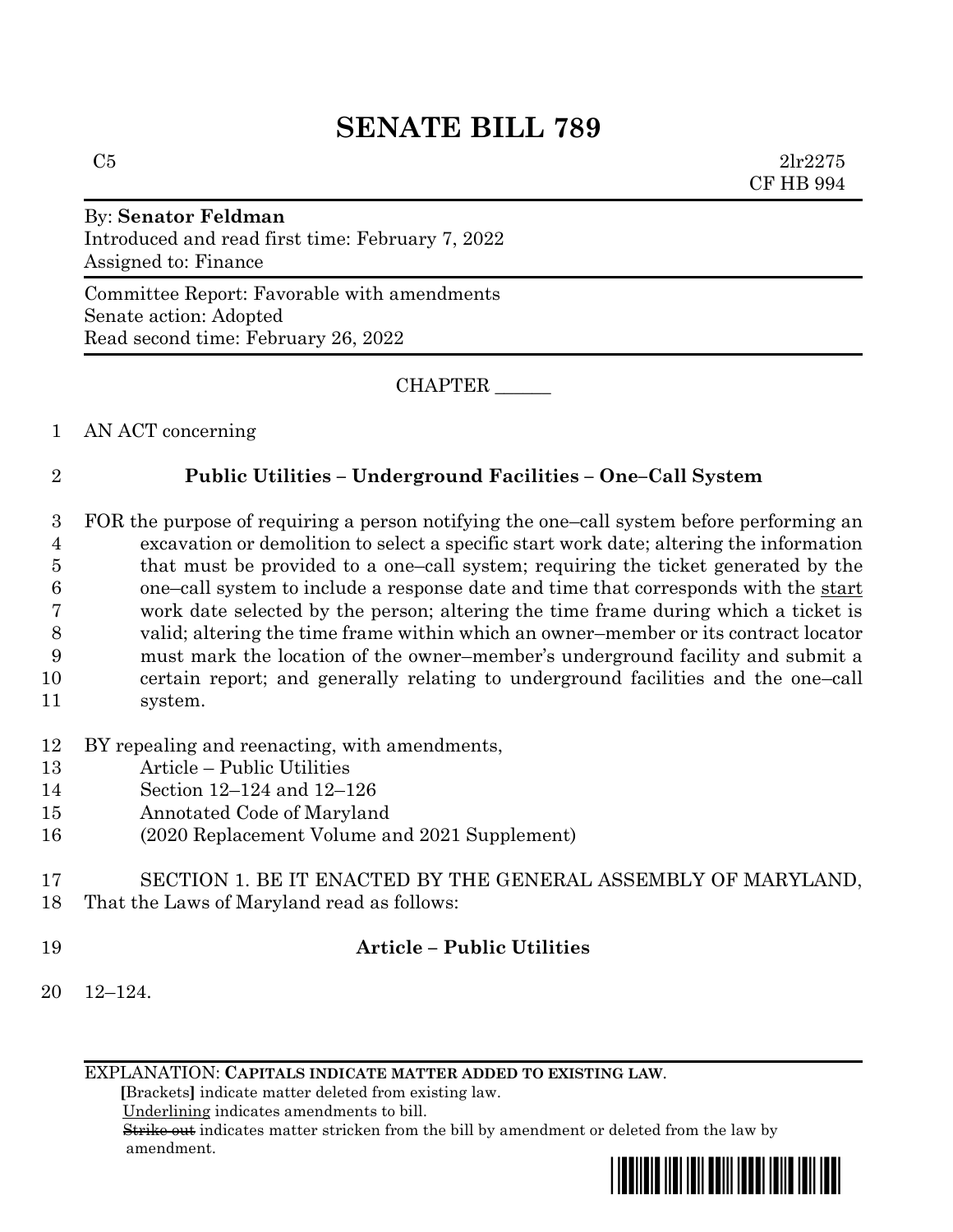# **SENATE BILL 789**

 $C5$  2lr2275 CF HB 994

# By: **Senator Feldman**

Introduced and read first time: February 7, 2022 Assigned to: Finance

Committee Report: Favorable with amendments Senate action: Adopted Read second time: February 26, 2022

CHAPTER \_\_\_\_\_\_

1 AN ACT concerning

## 2 **Public Utilities – Underground Facilities – One–Call System**

- 3 FOR the purpose of requiring a person notifying the one–call system before performing an 4 excavation or demolition to select a specific start work date; altering the information 5 that must be provided to a one–call system; requiring the ticket generated by the 6 one–call system to include a response date and time that corresponds with the start 7 work date selected by the person; altering the time frame during which a ticket is 8 valid; altering the time frame within which an owner–member or its contract locator 9 must mark the location of the owner–member's underground facility and submit a 10 certain report; and generally relating to underground facilities and the one–call 11 system.
- 12 BY repealing and reenacting, with amendments,
- 13 Article Public Utilities
- 14 Section 12–124 and 12–126
- 15 Annotated Code of Maryland
- 16 (2020 Replacement Volume and 2021 Supplement)
- 17 SECTION 1. BE IT ENACTED BY THE GENERAL ASSEMBLY OF MARYLAND, 18 That the Laws of Maryland read as follows:
- 

## 19 **Article – Public Utilities**

20 12–124.

EXPLANATION: **CAPITALS INDICATE MATTER ADDED TO EXISTING LAW**.

 **[**Brackets**]** indicate matter deleted from existing law.

Underlining indicates amendments to bill.

 Strike out indicates matter stricken from the bill by amendment or deleted from the law by amendment.

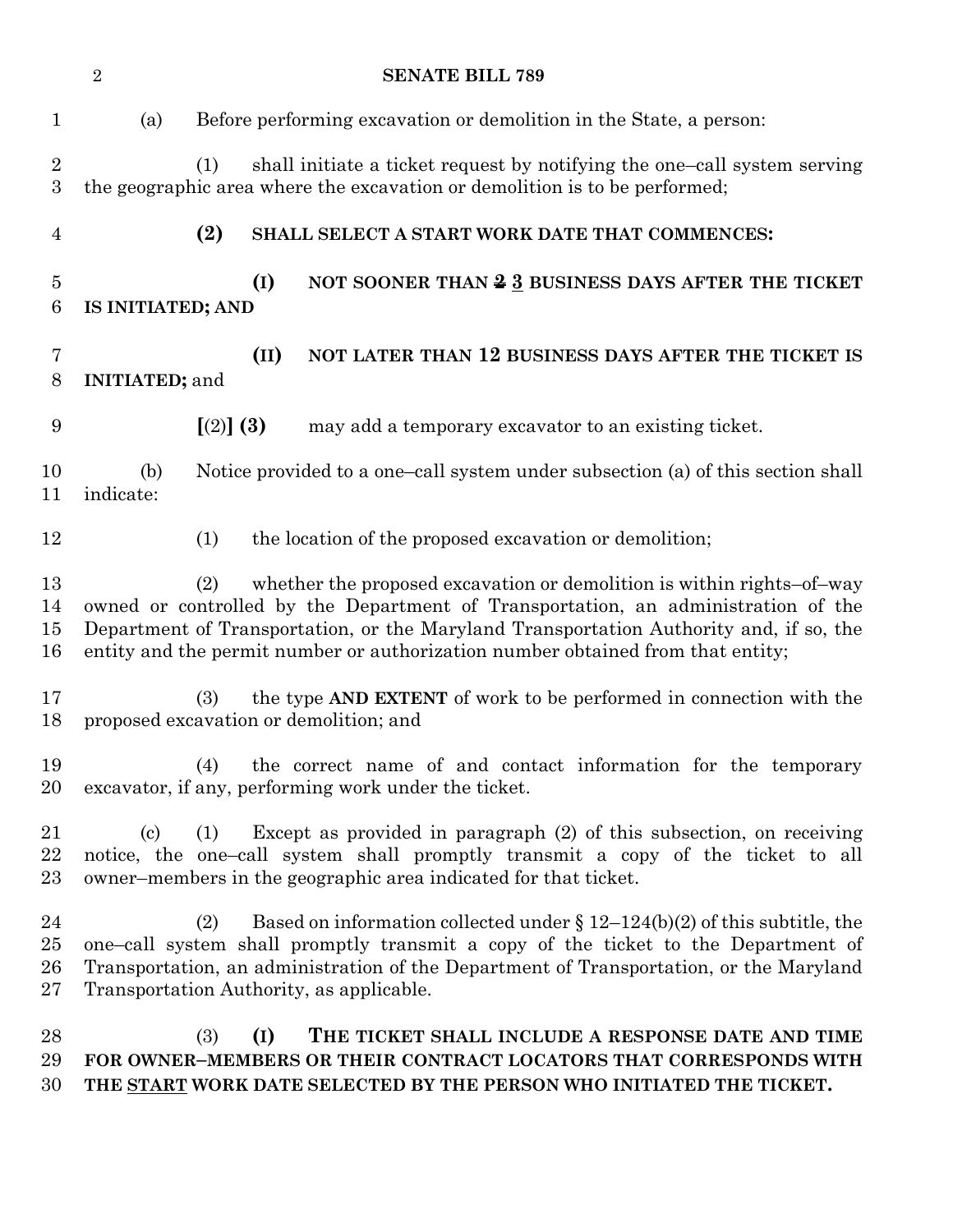|                                    | $\overline{2}$             | <b>SENATE BILL 789</b>                                                                                                                                                                                                                                                                                                                                    |
|------------------------------------|----------------------------|-----------------------------------------------------------------------------------------------------------------------------------------------------------------------------------------------------------------------------------------------------------------------------------------------------------------------------------------------------------|
| $\mathbf{1}$                       | (a)                        | Before performing excavation or demolition in the State, a person:                                                                                                                                                                                                                                                                                        |
| $\overline{2}$<br>$\boldsymbol{3}$ |                            | shall initiate a ticket request by notifying the one-call system serving<br>(1)<br>the geographic area where the excavation or demolition is to be performed;                                                                                                                                                                                             |
| $\overline{4}$                     |                            | (2)<br>SHALL SELECT A START WORK DATE THAT COMMENCES:                                                                                                                                                                                                                                                                                                     |
| $\overline{5}$<br>6                | IS INITIATED; AND          | (I)<br>NOT SOONER THAN $\frac{2}{3}$ BUSINESS DAYS AFTER THE TICKET                                                                                                                                                                                                                                                                                       |
| 7<br>8                             | <b>INITIATED; and</b>      | (II)<br>NOT LATER THAN 12 BUSINESS DAYS AFTER THE TICKET IS                                                                                                                                                                                                                                                                                               |
| 9                                  |                            | [(2)] (3)<br>may add a temporary excavator to an existing ticket.                                                                                                                                                                                                                                                                                         |
| 10<br>11                           | (b)<br>indicate:           | Notice provided to a one-call system under subsection (a) of this section shall                                                                                                                                                                                                                                                                           |
| 12                                 |                            | the location of the proposed excavation or demolition;<br>(1)                                                                                                                                                                                                                                                                                             |
| 13<br>14<br>15<br>16               |                            | whether the proposed excavation or demolition is within rights-of-way<br><sup>(2)</sup><br>owned or controlled by the Department of Transportation, an administration of the<br>Department of Transportation, or the Maryland Transportation Authority and, if so, the<br>entity and the permit number or authorization number obtained from that entity; |
| 17<br>18                           |                            | the type AND EXTENT of work to be performed in connection with the<br>(3)<br>proposed excavation or demolition; and                                                                                                                                                                                                                                       |
| 19<br>20                           |                            | (4) the correct name of and contact information for the temporary<br>excavator, if any, performing work under the ticket.                                                                                                                                                                                                                                 |
| 21<br>22<br>23                     | $\left( \mathrm{c}\right)$ | Except as provided in paragraph $(2)$ of this subsection, on receiving<br>(1)<br>notice, the one-call system shall promptly transmit a copy of the ticket to all<br>owner-members in the geographic area indicated for that ticket.                                                                                                                       |
| 24<br>$25\,$<br>26<br>$27\,$       |                            | Based on information collected under $\S 12-124(b)(2)$ of this subtitle, the<br>(2)<br>one-call system shall promptly transmit a copy of the ticket to the Department of<br>Transportation, an administration of the Department of Transportation, or the Maryland<br>Transportation Authority, as applicable.                                            |
| 28<br>29<br>30                     |                            | (3)<br>(I)<br>THE TICKET SHALL INCLUDE A RESPONSE DATE AND TIME<br>FOR OWNER-MEMBERS OR THEIR CONTRACT LOCATORS THAT CORRESPONDS WITH<br>THE START WORK DATE SELECTED BY THE PERSON WHO INITIATED THE TICKET.                                                                                                                                             |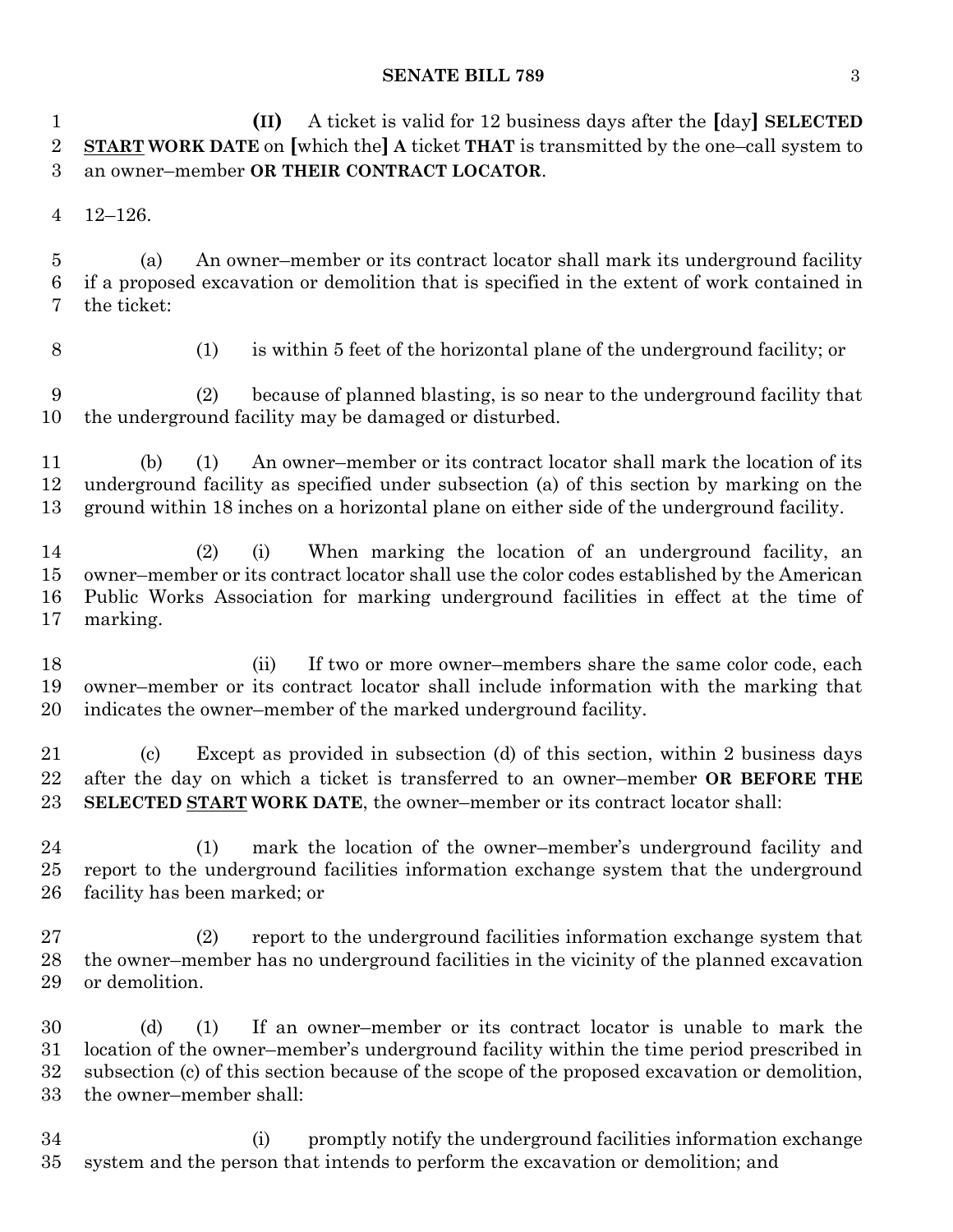### **SENATE BILL 789** 3

 **(II)** A ticket is valid for 12 business days after the **[**day**] SELECTED START WORK DATE** on **[**which the**] A** ticket **THAT** is transmitted by the one–call system to an owner–member **OR THEIR CONTRACT LOCATOR**.

12–126.

 (a) An owner–member or its contract locator shall mark its underground facility if a proposed excavation or demolition that is specified in the extent of work contained in the ticket:

(1) is within 5 feet of the horizontal plane of the underground facility; or

 (2) because of planned blasting, is so near to the underground facility that the underground facility may be damaged or disturbed.

 (b) (1) An owner–member or its contract locator shall mark the location of its underground facility as specified under subsection (a) of this section by marking on the ground within 18 inches on a horizontal plane on either side of the underground facility.

 (2) (i) When marking the location of an underground facility, an owner–member or its contract locator shall use the color codes established by the American Public Works Association for marking underground facilities in effect at the time of marking.

18 (ii) If two or more owner–members share the same color code, each owner–member or its contract locator shall include information with the marking that indicates the owner–member of the marked underground facility.

 (c) Except as provided in subsection (d) of this section, within 2 business days after the day on which a ticket is transferred to an owner–member **OR BEFORE THE SELECTED START WORK DATE**, the owner–member or its contract locator shall:

 (1) mark the location of the owner–member's underground facility and report to the underground facilities information exchange system that the underground facility has been marked; or

 (2) report to the underground facilities information exchange system that the owner–member has no underground facilities in the vicinity of the planned excavation or demolition.

 (d) (1) If an owner–member or its contract locator is unable to mark the location of the owner–member's underground facility within the time period prescribed in subsection (c) of this section because of the scope of the proposed excavation or demolition, the owner–member shall:

 (i) promptly notify the underground facilities information exchange system and the person that intends to perform the excavation or demolition; and